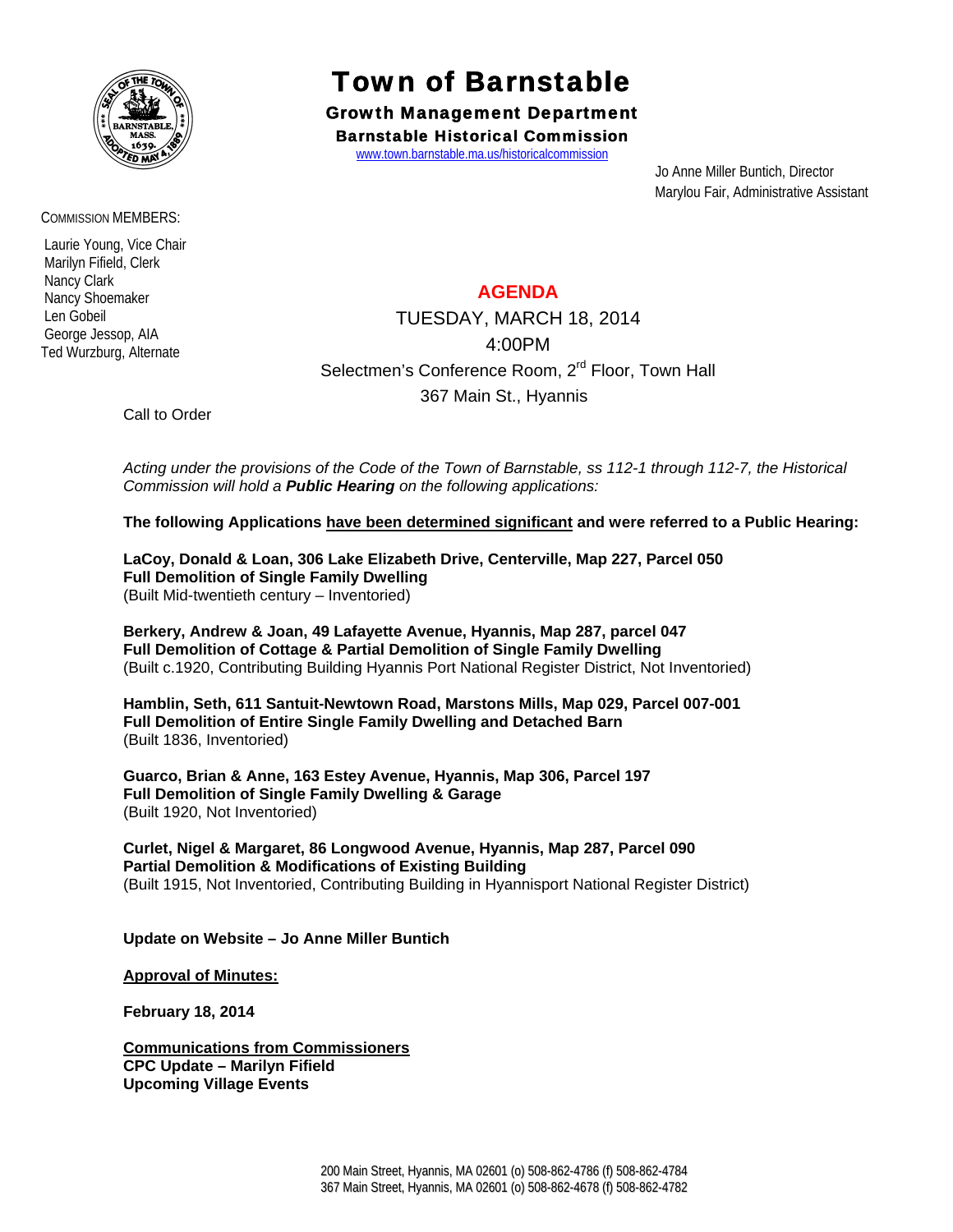

COMMISSION MEMBERS:

 Laurie Young, Vice Chair Marilyn Fifield, Clerk Nancy Clark Nancy Shoemaker Len Gobeil George Jessop, AIA Ted Wurzburg, Alternate

## Town of Barnstable

Growth Management Department Barnstable Historical Commission

www.town.barnstable.ma.us/historicalcommission

 Jo Anne Miller Buntich, Director Marylou Fair, Administrative Assistant

## **AGENDA**

TUESDAY, MARCH 18, 2014 4:00PM Selectmen's Conference Room, 2<sup>rd</sup> Floor, Town Hall 367 Main St., Hyannis

Call to Order

*Acting under the provisions of the Code of the Town of Barnstable, ss 112-1 through 112-7, the Historical Commission will hold a Public Hearing on the following applications:* 

**The following Applications have been determined significant and were referred to a Public Hearing:** 

**LaCoy, Donald & Loan, 306 Lake Elizabeth Drive, Centerville, Map 227, Parcel 050 Full Demolition of Single Family Dwelling**  (Built Mid-twentieth century – Inventoried)

**Berkery, Andrew & Joan, 49 Lafayette Avenue, Hyannis, Map 287, parcel 047 Full Demolition of Cottage & Partial Demolition of Single Family Dwelling** (Built c.1920, Contributing Building Hyannis Port National Register District, Not Inventoried)

**Hamblin, Seth, 611 Santuit-Newtown Road, Marstons Mills, Map 029, Parcel 007-001 Full Demolition of Entire Single Family Dwelling and Detached Barn**  (Built 1836, Inventoried)

**Guarco, Brian & Anne, 163 Estey Avenue, Hyannis, Map 306, Parcel 197 Full Demolition of Single Family Dwelling & Garage**  (Built 1920, Not Inventoried)

**Curlet, Nigel & Margaret, 86 Longwood Avenue, Hyannis, Map 287, Parcel 090 Partial Demolition & Modifications of Existing Building**  (Built 1915, Not Inventoried, Contributing Building in Hyannisport National Register District)

**Update on Website – Jo Anne Miller Buntich** 

**Approval of Minutes:**

**February 18, 2014** 

**Communications from Commissioners CPC Update – Marilyn Fifield Upcoming Village Events**